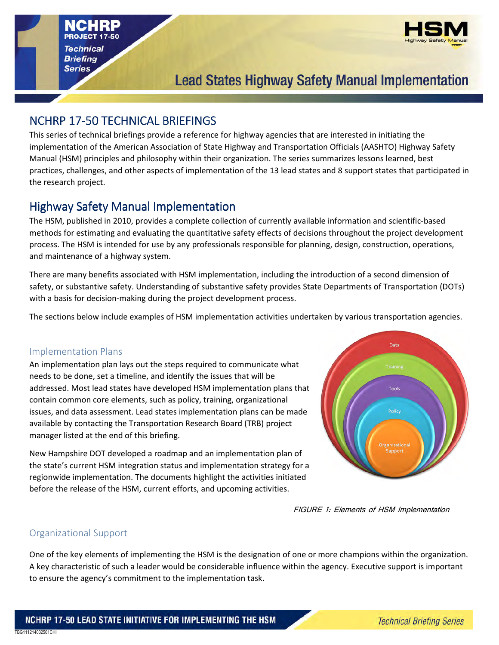

# **Lead States Highway Safety Manual Implementation**

# NCHRP 17-50 TECHNICAL BRIEFINGS

This series of technical briefings provide a reference for highway agencies that are interested in initiating the implementation of the American Association of State Highway and Transportation Officials (AASHTO) Highway Safety Manual (HSM) principles and philosophy within their organization. The series summarizes lessons learned, best practices, challenges, and other aspects of implementation of the 13 lead states and 8 support states that participated in the research project.

# Highway Safety Manual Implementation

The HSM, published in 2010, provides a complete collection of currently available information and scientific-based methods for estimating and evaluating the quantitative safety effects of decisions throughout the project development process. The HSM is intended for use by any professionals responsible for planning, design, construction, operations, and maintenance of a highway system.

There are many benefits associated with HSM implementation, including the introduction of a second dimension of safety, or substantive safety. Understanding of substantive safety provides State Departments of Transportation (DOTs) with a basis for decision-making during the project development process.

The sections below include examples of HSM implementation activities undertaken by various transportation agencies.

### Implementation Plans

An implementation plan lays out the steps required to communicate what needs to be done, set a timeline, and identify the issues that will be addressed. Most lead states have developed HSM implementation plans that contain common core elements, such as policy, training, organizational issues, and data assessment. Lead states implementation plans can be made available by contacting the Transportation Research Board (TRB) project manager listed at the end of this briefing.

New Hampshire DOT developed a roadmap and an implementation plan of the state's current HSM integration status and implementation strategy for a regionwide implementation. The documents highlight the activities initiated before the release of the HSM, current efforts, and upcoming activities.



FIGURE 1: Elements of HSM Implementation

### Organizational Support

TBG111214032501CHI

One of the key elements of implementing the HSM is the designation of one or more champions within the organization. A key characteristic of such a leader would be considerable influence within the agency. Executive support is important to ensure the agency's commitment to the implementation task.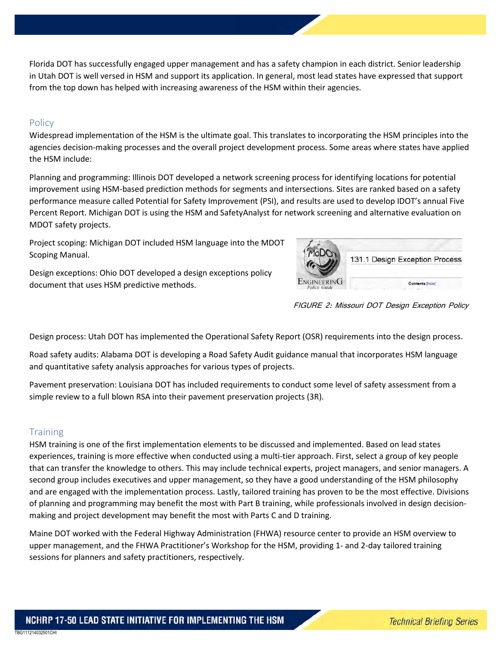Florida DOT has successfully engaged upper management and has a safety champion in each district. Senior leadership in Utah DOT is well versed in HSM and support its application. In general, most lead states have expressed that support from the top down has helped with increasing awareness of the HSM within their agencies.

#### Policy

Widespread implementation of the HSM is the ultimate goal. This translates to incorporating the HSM principles into the agencies decision-making processes and the overall project development process. Some areas where states have applied the HSM include:

Planning and programming: Illinois DOT developed a network screening process for identifying locations for potential improvement using HSM-based prediction methods for segments and intersections. Sites are ranked based on a safety performance measure called Potential for Safety Improvement (PSI), and results are used to develop IDOT's annual Five Percent Report. Michigan DOT is using the HSM and SafetyAnalyst for network screening and alternative evaluation on MDOT safety projects.

Project scoping: Michigan DOT included HSM language into the MDOT Scoping Manual.

Design exceptions: Ohio DOT developed a design exceptions policy document that uses HSM predictive methods.



FIGURE 2: Missouri DOT Design Exception Policy

Design process: Utah DOT has implemented the Operational Safety Report (OSR) requirements into the design process.

Road safety audits: Alabama DOT is developing a Road Safety Audit guidance manual that incorporates HSM language and quantitative safety analysis approaches for various types of projects.

Pavement preservation: Louisiana DOT has included requirements to conduct some level of safety assessment from a simple review to a full blown RSA into their pavement preservation projects (3R).

#### **Training**

HSM training is one of the first implementation elements to be discussed and implemented. Based on lead states experiences, training is more effective when conducted using a multi-tier approach. First, select a group of key people that can transfer the knowledge to others. This may include technical experts, project managers, and senior managers. A second group includes executives and upper management, so they have a good understanding of the HSM philosophy and are engaged with the implementation process. Lastly, tailored training has proven to be the most effective. Divisions of planning and programming may benefit the most with Part B training, while professionals involved in design decisionmaking and project development may benefit the most with Parts C and D training.

Maine DOT worked with the Federal Highway Administration (FHWA) resource center to provide an HSM overview to upper management, and the FHWA Practitioner's Workshop for the HSM, providing 1- and 2-day tailored training sessions for planners and safety practitioners, respectively.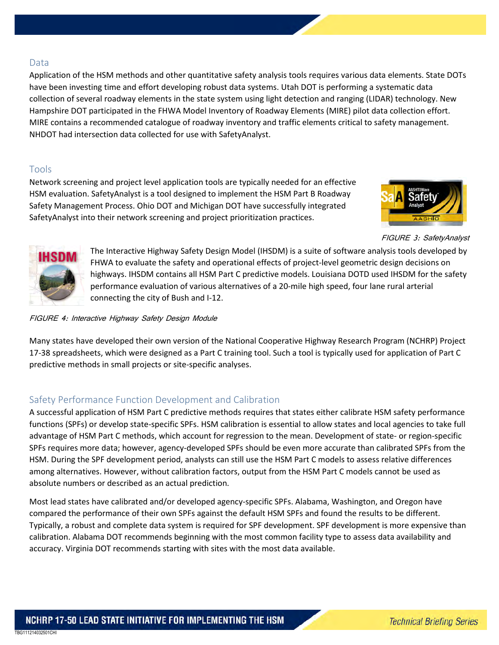#### Data

Application of the HSM methods and other quantitative safety analysis tools requires various data elements. State DOTs have been investing time and effort developing robust data systems. Utah DOT is performing a systematic data collection of several roadway elements in the state system using light detection and ranging (LIDAR) technology. New Hampshire DOT participated in the FHWA Model Inventory of Roadway Elements (MIRE) pilot data collection effort. MIRE contains a recommended catalogue of roadway inventory and traffic elements critical to safety management. NHDOT had intersection data collected for use with SafetyAnalyst.

#### Tools

Network screening and project level application tools are typically needed for an effective HSM evaluation. SafetyAnalyst is a tool designed to implement the HSM Part B Roadway Safety Management Process. Ohio DOT and Michigan DOT have successfully integrated SafetyAnalyst into their network screening and project prioritization practices.



FIGURE 3: SafetyAnalyst



The Interactive Highway Safety Design Model (IHSDM) is a suite of software analysis tools developed by FHWA to evaluate the safety and operational effects of project-level geometric design decisions on highways. IHSDM contains all HSM Part C predictive models. Louisiana DOTD used IHSDM for the safety performance evaluation of various alternatives of a 20-mile high speed, four lane rural arterial connecting the city of Bush and I-12.

#### FIGURE 4: Interactive Highway Safety Design Module

Many states have developed their own version of the National Cooperative Highway Research Program (NCHRP) Project 17-38 spreadsheets, which were designed as a Part C training tool. Such a tool is typically used for application of Part C predictive methods in small projects or site-specific analyses.

### Safety Performance Function Development and Calibration

A successful application of HSM Part C predictive methods requires that states either calibrate HSM safety performance functions (SPFs) or develop state-specific SPFs. HSM calibration is essential to allow states and local agencies to take full advantage of HSM Part C methods, which account for regression to the mean. Development of state- or region-specific SPFs requires more data; however, agency-developed SPFs should be even more accurate than calibrated SPFs from the HSM. During the SPF development period, analysts can still use the HSM Part C models to assess relative differences among alternatives. However, without calibration factors, output from the HSM Part C models cannot be used as absolute numbers or described as an actual prediction.

Most lead states have calibrated and/or developed agency-specific SPFs. Alabama, Washington, and Oregon have compared the performance of their own SPFs against the default HSM SPFs and found the results to be different. Typically, a robust and complete data system is required for SPF development. SPF development is more expensive than calibration. Alabama DOT recommends beginning with the most common facility type to assess data availability and accuracy. Virginia DOT recommends starting with sites with the most data available.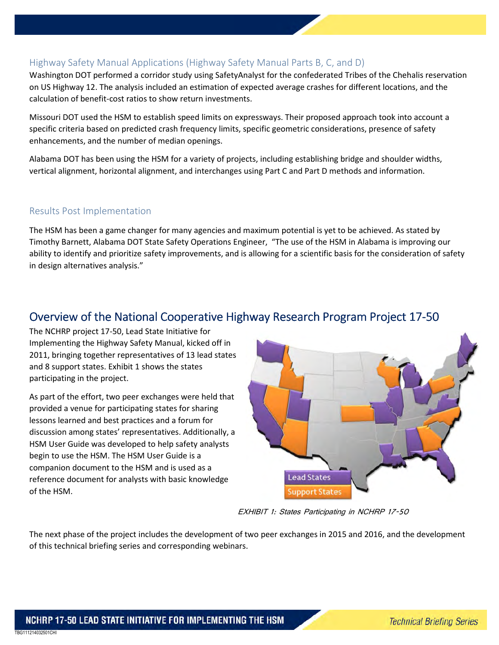### Highway Safety Manual Applications (Highway Safety Manual Parts B, C, and D)

Washington DOT performed a corridor study using SafetyAnalyst for the confederated Tribes of the Chehalis reservation on US Highway 12. The analysis included an estimation of expected average crashes for different locations, and the calculation of benefit-cost ratios to show return investments.

Missouri DOT used the HSM to establish speed limits on expressways. Their proposed approach took into account a specific criteria based on predicted crash frequency limits, specific geometric considerations, presence of safety enhancements, and the number of median openings.

Alabama DOT has been using the HSM for a variety of projects, including establishing bridge and shoulder widths, vertical alignment, horizontal alignment, and interchanges using Part C and Part D methods and information.

### Results Post Implementation

The HSM has been a game changer for many agencies and maximum potential is yet to be achieved. As stated by Timothy Barnett, Alabama DOT State Safety Operations Engineer, "The use of the HSM in Alabama is improving our ability to identify and prioritize safety improvements, and is allowing for a scientific basis for the consideration of safety in design alternatives analysis."

# Overview of the National Cooperative Highway Research Program Project 17-50

The NCHRP project 17-50, Lead State Initiative for Implementing the Highway Safety Manual, kicked off in 2011, bringing together representatives of 13 lead states and 8 support states. Exhibit 1 shows the states participating in the project.

As part of the effort, two peer exchanges were held that provided a venue for participating states for sharing lessons learned and best practices and a forum for discussion among states' representatives. Additionally, a HSM User Guide was developed to help safety analysts begin to use the HSM. The HSM User Guide is a companion document to the HSM and is used as a reference document for analysts with basic knowledge of the HSM.



EXHIBIT 1: States Participating in NCHRP 17-50

The next phase of the project includes the development of two peer exchanges in 2015 and 2016, and the development of this technical briefing series and corresponding webinars.